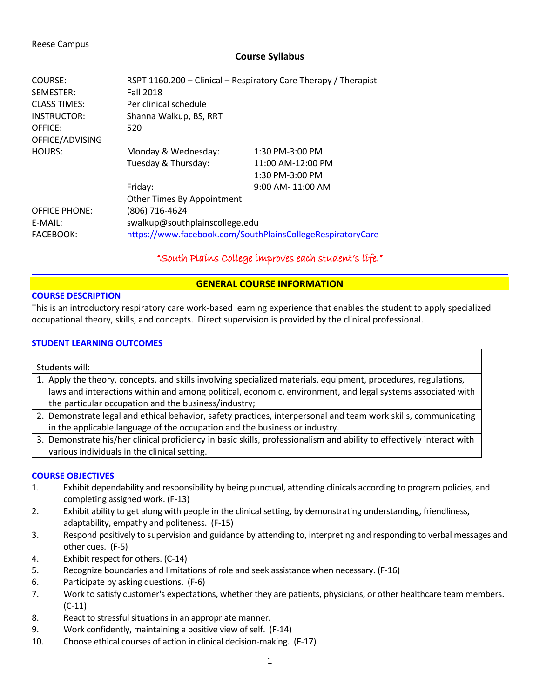#### Reese Campus

## **Course Syllabus**

| COURSE:              | RSPT 1160.200 - Clinical - Respiratory Care Therapy / Therapist |                       |  |
|----------------------|-----------------------------------------------------------------|-----------------------|--|
| SEMESTER:            | <b>Fall 2018</b>                                                |                       |  |
| <b>CLASS TIMES:</b>  | Per clinical schedule                                           |                       |  |
| INSTRUCTOR:          | Shanna Walkup, BS, RRT                                          |                       |  |
| OFFICE:              | 520                                                             |                       |  |
| OFFICE/ADVISING      |                                                                 |                       |  |
| HOURS:               | Monday & Wednesday:                                             | 1:30 PM-3:00 PM       |  |
|                      | Tuesday & Thursday:                                             | 11:00 AM-12:00 PM     |  |
|                      |                                                                 | 1:30 PM-3:00 PM       |  |
|                      | Friday:                                                         | $9:00$ AM- $11:00$ AM |  |
|                      | Other Times By Appointment                                      |                       |  |
| <b>OFFICE PHONE:</b> | (806) 716-4624                                                  |                       |  |
| E-MAIL:              | swalkup@southplainscollege.edu                                  |                       |  |
| <b>FACEBOOK:</b>     | https://www.facebook.com/SouthPlainsCollegeRespiratoryCare      |                       |  |

## "South Plains College improves each student's life."

## **GENERAL COURSE INFORMATION**

## **COURSE DESCRIPTION**

This is an introductory respiratory care work-based learning experience that enables the student to apply specialized occupational theory, skills, and concepts. Direct supervision is provided by the clinical professional.

## **STUDENT LEARNING OUTCOMES**

Students will:

- 1. Apply the theory, concepts, and skills involving specialized materials, equipment, procedures, regulations, laws and interactions within and among political, economic, environment, and legal systems associated with the particular occupation and the business/industry;
- 2. Demonstrate legal and ethical behavior, safety practices, interpersonal and team work skills, communicating in the applicable language of the occupation and the business or industry.
- 3. Demonstrate his/her clinical proficiency in basic skills, professionalism and ability to effectively interact with various individuals in the clinical setting.

## **COURSE OBJECTIVES**

- 1. Exhibit dependability and responsibility by being punctual, attending clinicals according to program policies, and completing assigned work. (F-13)
- 2. Exhibit ability to get along with people in the clinical setting, by demonstrating understanding, friendliness, adaptability, empathy and politeness. (F-15)
- 3. Respond positively to supervision and guidance by attending to, interpreting and responding to verbal messages and other cues. (F-5)
- 4. Exhibit respect for others. (C-14)
- 5. Recognize boundaries and limitations of role and seek assistance when necessary. (F-16)
- 6. Participate by asking questions. (F-6)
- 7. Work to satisfy customer's expectations, whether they are patients, physicians, or other healthcare team members. (C-11)
- 8. React to stressful situations in an appropriate manner.
- 9. Work confidently, maintaining a positive view of self. (F-14)
- 10. Choose ethical courses of action in clinical decision-making. (F-17)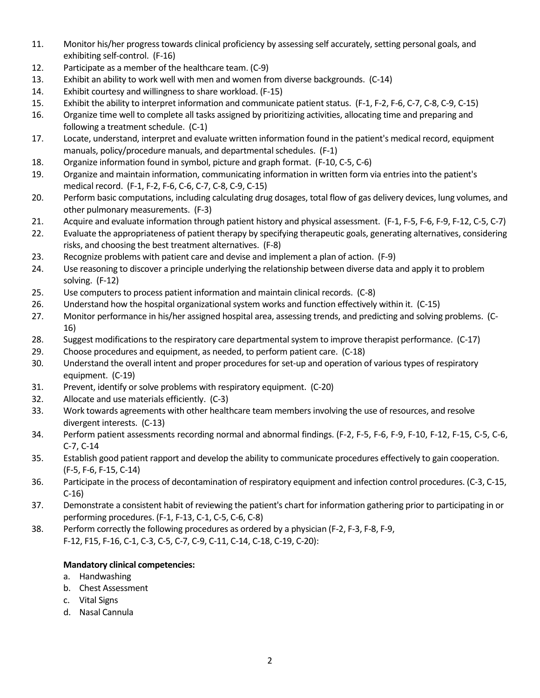- 11. Monitor his/her progress towards clinical proficiency by assessing self accurately, setting personal goals, and exhibiting self-control. (F-16)
- 12. Participate as a member of the healthcare team. (C-9)
- 13. Exhibit an ability to work well with men and women from diverse backgrounds. (C-14)
- 14. Exhibit courtesy and willingness to share workload. (F-15)
- 15. Exhibit the ability to interpret information and communicate patient status. (F-1, F-2, F-6, C-7, C-8, C-9, C-15)
- 16. Organize time well to complete all tasks assigned by prioritizing activities, allocating time and preparing and following a treatment schedule. (C-1)
- 17. Locate, understand, interpret and evaluate written information found in the patient's medical record, equipment manuals, policy/procedure manuals, and departmental schedules. (F-1)
- 18. Organize information found in symbol, picture and graph format. (F-10, C-5, C-6)
- 19. Organize and maintain information, communicating information in written form via entries into the patient's medical record. (F-1, F-2, F-6, C-6, C-7, C-8, C-9, C-15)
- 20. Perform basic computations, including calculating drug dosages, total flow of gas delivery devices, lung volumes, and other pulmonary measurements. (F-3)
- 21. Acquire and evaluate information through patient history and physical assessment. (F-1, F-5, F-6, F-9, F-12, C-5, C-7)
- 22. Evaluate the appropriateness of patient therapy by specifying therapeutic goals, generating alternatives, considering risks, and choosing the best treatment alternatives. (F-8)
- 23. Recognize problems with patient care and devise and implement a plan of action. (F-9)
- 24. Use reasoning to discover a principle underlying the relationship between diverse data and apply it to problem solving. (F-12)
- 25. Use computers to process patient information and maintain clinical records. (C-8)
- 26. Understand how the hospital organizational system works and function effectively within it. (C-15)
- 27. Monitor performance in his/her assigned hospital area, assessing trends, and predicting and solving problems. (C-16)
- 28. Suggest modifications to the respiratory care departmental system to improve therapist performance. (C-17)
- 29. Choose procedures and equipment, as needed, to perform patient care. (C-18)
- 30. Understand the overall intent and proper procedures for set-up and operation of various types of respiratory equipment. (C-19)
- 31. Prevent, identify or solve problems with respiratory equipment. (C-20)
- 32. Allocate and use materials efficiently. (C-3)
- 33. Work towards agreements with other healthcare team members involving the use of resources, and resolve divergent interests. (C-13)
- 34. Perform patient assessments recording normal and abnormal findings. (F-2, F-5, F-6, F-9, F-10, F-12, F-15, C-5, C-6, C-7, C-14
- 35. Establish good patient rapport and develop the ability to communicate procedures effectively to gain cooperation. (F-5, F-6, F-15, C-14)
- 36. Participate in the process of decontamination of respiratory equipment and infection control procedures. (C-3, C-15, C-16)
- 37. Demonstrate a consistent habit of reviewing the patient's chart for information gathering prior to participating in or performing procedures. (F-1, F-13, C-1, C-5, C-6, C-8)
- 38. Perform correctly the following procedures as ordered by a physician (F-2, F-3, F-8, F-9, F-12, F15, F-16, C-1, C-3, C-5, C-7, C-9, C-11, C-14, C-18, C-19, C-20):

## **Mandatory clinical competencies:**

- a. Handwashing
- b. Chest Assessment
- c. Vital Signs
- d. Nasal Cannula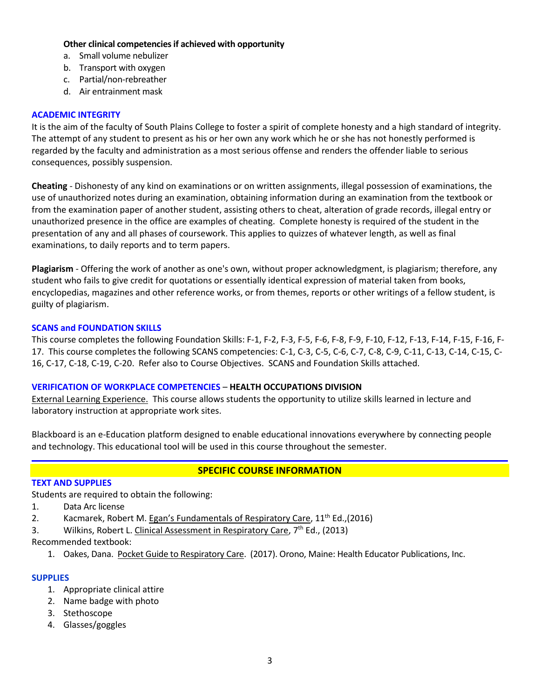## **Other clinical competencies if achieved with opportunity**

- a. Small volume nebulizer
- b. Transport with oxygen
- c. Partial/non-rebreather
- d. Air entrainment mask

### **ACADEMIC INTEGRITY**

It is the aim of the faculty of South Plains College to foster a spirit of complete honesty and a high standard of integrity. The attempt of any student to present as his or her own any work which he or she has not honestly performed is regarded by the faculty and administration as a most serious offense and renders the offender liable to serious consequences, possibly suspension.

**Cheating** - Dishonesty of any kind on examinations or on written assignments, illegal possession of examinations, the use of unauthorized notes during an examination, obtaining information during an examination from the textbook or from the examination paper of another student, assisting others to cheat, alteration of grade records, illegal entry or unauthorized presence in the office are examples of cheating. Complete honesty is required of the student in the presentation of any and all phases of coursework. This applies to quizzes of whatever length, as well as final examinations, to daily reports and to term papers.

**Plagiarism** - Offering the work of another as one's own, without proper acknowledgment, is plagiarism; therefore, any student who fails to give credit for quotations or essentially identical expression of material taken from books, encyclopedias, magazines and other reference works, or from themes, reports or other writings of a fellow student, is guilty of plagiarism.

## **SCANS and FOUNDATION SKILLS**

This course completes the following Foundation Skills: F-1, F-2, F-3, F-5, F-6, F-8, F-9, F-10, F-12, F-13, F-14, F-15, F-16, F-17. This course completes the following SCANS competencies: C-1, C-3, C-5, C-6, C-7, C-8, C-9, C-11, C-13, C-14, C-15, C-16, C-17, C-18, C-19, C-20. Refer also to Course Objectives. SCANS and Foundation Skills attached.

## **VERIFICATION OF WORKPLACE COMPETENCIES** – **HEALTH OCCUPATIONS DIVISION**

External Learning Experience. This course allows students the opportunity to utilize skills learned in lecture and laboratory instruction at appropriate work sites.

Blackboard is an e-Education platform designed to enable educational innovations everywhere by connecting people and technology. This educational tool will be used in this course throughout the semester.

## **SPECIFIC COURSE INFORMATION**

#### **TEXT AND SUPPLIES**

Students are required to obtain the following:

- 1. Data Arc license
- 2. Kacmarek, Robert M. Egan's Fundamentals of Respiratory Care, 11<sup>th</sup> Ed.,(2016)
- 3. Wilkins, Robert L. Clinical Assessment in Respiratory Care,  $7<sup>th</sup>$  Ed., (2013)

Recommended textbook:

1. Oakes, Dana. Pocket Guide to Respiratory Care. (2017). Orono, Maine: Health Educator Publications, Inc.

## **SUPPLIES**

- 1. Appropriate clinical attire
- 2. Name badge with photo
- 3. Stethoscope
- 4. Glasses/goggles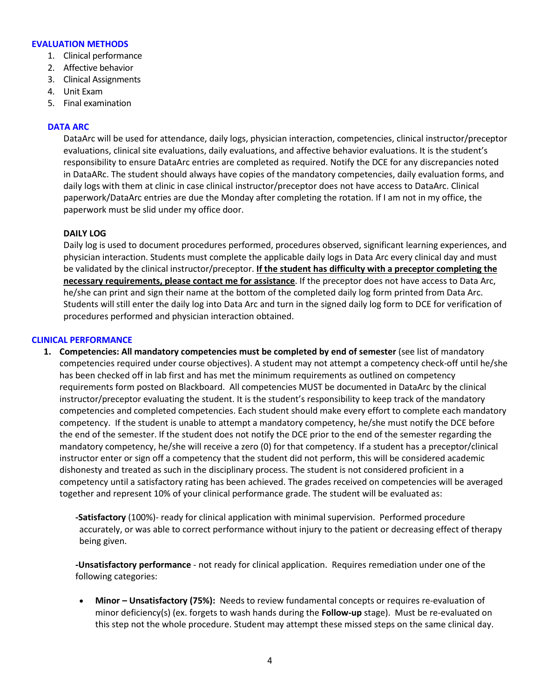#### **EVALUATION METHODS**

- 1. Clinical performance
- 2. Affective behavior
- 3. Clinical Assignments
- 4. Unit Exam
- 5. Final examination

#### **DATA ARC**

DataArc will be used for attendance, daily logs, physician interaction, competencies, clinical instructor/preceptor evaluations, clinical site evaluations, daily evaluations, and affective behavior evaluations. It is the student's responsibility to ensure DataArc entries are completed as required. Notify the DCE for any discrepancies noted in DataARc. The student should always have copies of the mandatory competencies, daily evaluation forms, and daily logs with them at clinic in case clinical instructor/preceptor does not have access to DataArc. Clinical paperwork/DataArc entries are due the Monday after completing the rotation. If I am not in my office, the paperwork must be slid under my office door.

#### **DAILY LOG**

Daily log is used to document procedures performed, procedures observed, significant learning experiences, and physician interaction. Students must complete the applicable daily logs in Data Arc every clinical day and must be validated by the clinical instructor/preceptor. **If the student has difficulty with a preceptor completing the necessary requirements, please contact me for assistance**. If the preceptor does not have access to Data Arc, he/she can print and sign their name at the bottom of the completed daily log form printed from Data Arc. Students will still enter the daily log into Data Arc and turn in the signed daily log form to DCE for verification of procedures performed and physician interaction obtained.

#### **CLINICAL PERFORMANCE**

**1.** Competencies: All mandatory competencies must be completed by end of semester (see list of mandatory competencies required under course objectives). A student may not attempt a competency check-off until he/she has been checked off in lab first and has met the minimum requirements as outlined on competency requirements form posted on Blackboard. All competencies MUST be documented in DataArc by the clinical instructor/preceptor evaluating the student. It is the student's responsibility to keep track of the mandatory competencies and completed competencies. Each student should make every effort to complete each mandatory competency. If the student is unable to attempt a mandatory competency, he/she must notify the DCE before the end of the semester. If the student does not notify the DCE prior to the end of the semester regarding the mandatory competency, he/she will receive a zero (0) for that competency. If a student has a preceptor/clinical instructor enter or sign off a competency that the student did not perform, this will be considered academic dishonesty and treated as such in the disciplinary process. The student is not considered proficient in a competency until a satisfactory rating has been achieved. The grades received on competencies will be averaged together and represent 10% of your clinical performance grade. The student will be evaluated as:

**-Satisfactory** (100%)- ready for clinical application with minimal supervision. Performed procedure accurately, or was able to correct performance without injury to the patient or decreasing effect of therapy being given.

**-Unsatisfactory performance** - not ready for clinical application. Requires remediation under one of the following categories:

• **Minor – Unsatisfactory (75%):** Needs to review fundamental concepts or requires re-evaluation of minor deficiency(s) (ex. forgets to wash hands during the **Follow-up** stage). Must be re-evaluated on this step not the whole procedure. Student may attempt these missed steps on the same clinical day.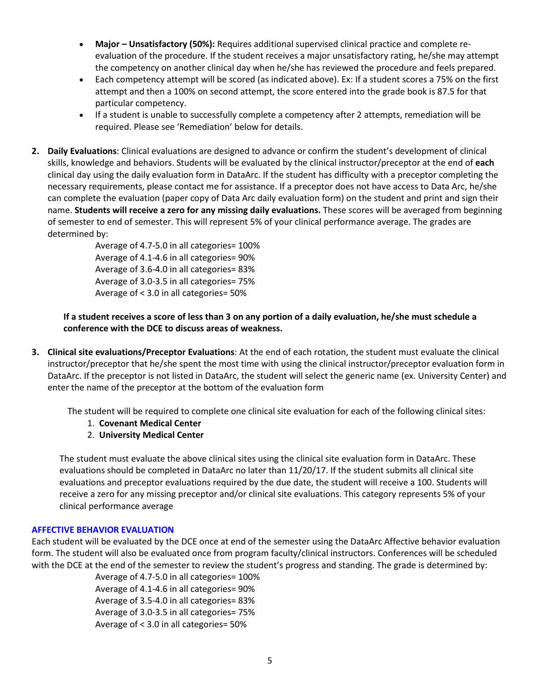- **Major – Unsatisfactory (50%):** Requires additional supervised clinical practice and complete reevaluation of the procedure. If the student receives a major unsatisfactory rating, he/she may attempt the competency on another clinical day when he/she has reviewed the procedure and feels prepared.
- Each competency attempt will be scored (as indicated above). Ex: If a student scores a 75% on the first attempt and then a 100% on second attempt, the score entered into the grade book is 87.5 for that particular competency.
- If a student is unable to successfully complete a competency after 2 attempts, remediation will be required. Please see 'Remediation' below for details.
- **2. Daily Evaluations**: Clinical evaluations are designed to advance or confirm the student's development of clinical skills, knowledge and behaviors. Students will be evaluated by the clinical instructor/preceptor at the end of **each**  clinical day using the daily evaluation form in DataArc. If the student has difficulty with a preceptor completing the necessary requirements, please contact me for assistance. If a preceptor does not have access to Data Arc, he/she can complete the evaluation (paper copy of Data Arc daily evaluation form) on the student and print and sign their name. **Students will receive a zero for any missing daily evaluations.** These scores will be averaged from beginning of semester to end of semester. This will represent 5% of your clinical performance average. The grades are determined by:

Average of 4.7-5.0 in all categories= 100% Average of 4.1-4.6 in all categories= 90% Average of 3.6-4.0 in all categories= 83% Average of 3.0-3.5 in all categories= 75% Average of < 3.0 in all categories= 50%

## **If a student receives a score of less than 3 on any portion of a daily evaluation, he/she must schedule a conference with the DCE to discuss areas of weakness.**

**3. Clinical site evaluations/Preceptor Evaluations**: At the end of each rotation, the student must evaluate the clinical instructor/preceptor that he/she spent the most time with using the clinical instructor/preceptor evaluation form in DataArc. If the preceptor is not listed in DataArc, the student will select the generic name (ex. University Center) and enter the name of the preceptor at the bottom of the evaluation form

The student will be required to complete one clinical site evaluation for each of the following clinical sites:

- 1. **Covenant Medical Center**
- 2. **University Medical Center**

The student must evaluate the above clinical sites using the clinical site evaluation form in DataArc. These evaluations should be completed in DataArc no later than 11/20/17. If the student submits all clinical site evaluations and preceptor evaluations required by the due date, the student will receive a 100. Students will receive a zero for any missing preceptor and/or clinical site evaluations. This category represents 5% of your clinical performance average

## **AFFECTIVE BEHAVIOR EVALUATION**

Each student will be evaluated by the DCE once at end of the semester using the DataArc Affective behavior evaluation form. The student will also be evaluated once from program faculty/clinical instructors. Conferences will be scheduled with the DCE at the end of the semester to review the student's progress and standing. The grade is determined by:

> Average of 4.7-5.0 in all categories= 100% Average of 4.1-4.6 in all categories= 90% Average of 3.5-4.0 in all categories= 83% Average of 3.0-3.5 in all categories= 75% Average of < 3.0 in all categories= 50%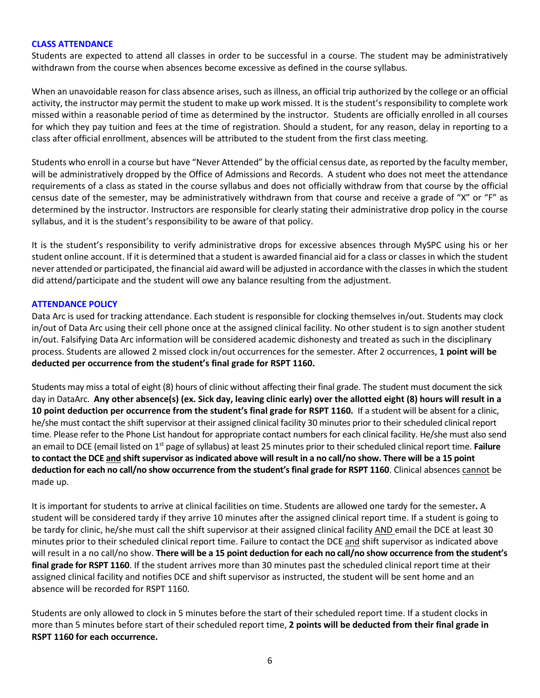#### **CLASS ATTENDANCE**

Students are expected to attend all classes in order to be successful in a course. The student may be administratively withdrawn from the course when absences become excessive as defined in the course syllabus.

When an unavoidable reason for class absence arises, such as illness, an official trip authorized by the college or an official activity, the instructor may permit the student to make up work missed. It is the student's responsibility to complete work missed within a reasonable period of time as determined by the instructor. Students are officially enrolled in all courses for which they pay tuition and fees at the time of registration. Should a student, for any reason, delay in reporting to a class after official enrollment, absences will be attributed to the student from the first class meeting.

Students who enroll in a course but have "Never Attended" by the official census date, as reported by the faculty member, will be administratively dropped by the Office of Admissions and Records. A student who does not meet the attendance requirements of a class as stated in the course syllabus and does not officially withdraw from that course by the official census date of the semester, may be administratively withdrawn from that course and receive a grade of "X" or "F" as determined by the instructor. Instructors are responsible for clearly stating their administrative drop policy in the course syllabus, and it is the student's responsibility to be aware of that policy.

It is the student's responsibility to verify administrative drops for excessive absences through MySPC using his or her student online account. If it is determined that a student is awarded financial aid for a class or classes in which the student never attended or participated, the financial aid award will be adjusted in accordance with the classes in which the student did attend/participate and the student will owe any balance resulting from the adjustment.

#### **ATTENDANCE POLICY**

Data Arc is used for tracking attendance. Each student is responsible for clocking themselves in/out. Students may clock in/out of Data Arc using their cell phone once at the assigned clinical facility. No other student is to sign another student in/out. Falsifying Data Arc information will be considered academic dishonesty and treated as such in the disciplinary process. Students are allowed 2 missed clock in/out occurrences for the semester. After 2 occurrences, **1 point will be deducted per occurrence from the student's final grade for RSPT 1160.** 

Students may miss a total of eight (8) hours of clinic without affecting their final grade. The student must document the sick day in DataArc. **Any other absence(s) (ex. Sick day, leaving clinic early) over the allotted eight (8) hours will result in a 10 point deduction per occurrence from the student's final grade for RSPT 1160.** If a student will be absent for a clinic, he/she must contact the shift supervisor at their assigned clinical facility 30 minutes prior to their scheduled clinical report time. Please refer to the Phone List handout for appropriate contact numbers for each clinical facility. He/she must also send an email to DCE (email listed on 1st page of syllabus) at least 25 minutes prior to their scheduled clinical report time. **Failure to contact the DCE and shift supervisor as indicated above will result in a no call/no show. There will be a 15 point**  deduction for each no call/no show occurrence from the student's final grade for RSPT 1160. Clinical absences cannot be made up.

It is important for students to arrive at clinical facilities on time. Students are allowed one tardy for the semester**.** A student will be considered tardy if they arrive 10 minutes after the assigned clinical report time. If a student is going to be tardy for clinic, he/she must call the shift supervisor at their assigned clinical facility AND email the DCE at least 30 minutes prior to their scheduled clinical report time. Failure to contact the DCE and shift supervisor as indicated above will result in a no call/no show. **There will be a 15 point deduction for each no call/no show occurrence from the student's final grade for RSPT 1160**. If the student arrives more than 30 minutes past the scheduled clinical report time at their assigned clinical facility and notifies DCE and shift supervisor as instructed, the student will be sent home and an absence will be recorded for RSPT 1160.

Students are only allowed to clock in 5 minutes before the start of their scheduled report time. If a student clocks in more than 5 minutes before start of their scheduled report time, **2 points will be deducted from their final grade in RSPT 1160 for each occurrence.**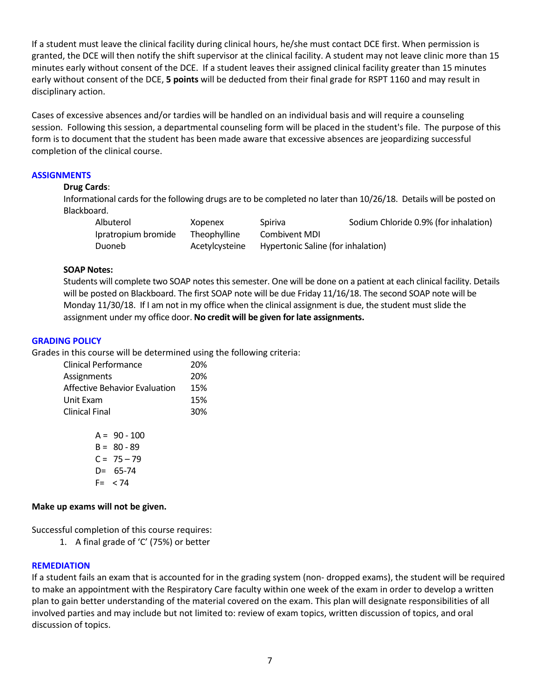If a student must leave the clinical facility during clinical hours, he/she must contact DCE first. When permission is granted, the DCE will then notify the shift supervisor at the clinical facility. A student may not leave clinic more than 15 minutes early without consent of the DCE. If a student leaves their assigned clinical facility greater than 15 minutes early without consent of the DCE, **5 points** will be deducted from their final grade for RSPT 1160 and may result in disciplinary action.

Cases of excessive absences and/or tardies will be handled on an individual basis and will require a counseling session. Following this session, a departmental counseling form will be placed in the student's file. The purpose of this form is to document that the student has been made aware that excessive absences are jeopardizing successful completion of the clinical course.

#### **ASSIGNMENTS**

#### **Drug Cards**:

Informational cards for the following drugs are to be completed no later than 10/26/18. Details will be posted on Blackboard.

| Albuterol           | Xopenex             | Spiriva                            | Sodium Chloride 0.9% (for inhalation) |
|---------------------|---------------------|------------------------------------|---------------------------------------|
| Ipratropium bromide | <b>Theophylline</b> | Combivent MDI                      |                                       |
| Duoneb              | Acetylcysteine      | Hypertonic Saline (for inhalation) |                                       |

#### **SOAP Notes:**

Students will complete two SOAP notes this semester. One will be done on a patient at each clinical facility. Details will be posted on Blackboard. The first SOAP note will be due Friday 11/16/18. The second SOAP note will be Monday 11/30/18. If I am not in my office when the clinical assignment is due, the student must slide the assignment under my office door. **No credit will be given for late assignments.**

#### **GRADING POLICY**

Grades in this course will be determined using the following criteria:

| Clinical Performance                 | 20% |
|--------------------------------------|-----|
| Assignments                          | 20% |
| <b>Affective Behavior Evaluation</b> | 15% |
| Unit Exam                            | 15% |
| <b>Clinical Final</b>                | 30% |
|                                      |     |

 $A = 90 - 100$  $B = 80 - 89$  $C = 75 - 79$ D= 65-74  $F = < 74$ 

## **Make up exams will not be given.**

Successful completion of this course requires:

1. A final grade of 'C' (75%) or better

## **REMEDIATION**

If a student fails an exam that is accounted for in the grading system (non- dropped exams), the student will be required to make an appointment with the Respiratory Care faculty within one week of the exam in order to develop a written plan to gain better understanding of the material covered on the exam. This plan will designate responsibilities of all involved parties and may include but not limited to: review of exam topics, written discussion of topics, and oral discussion of topics.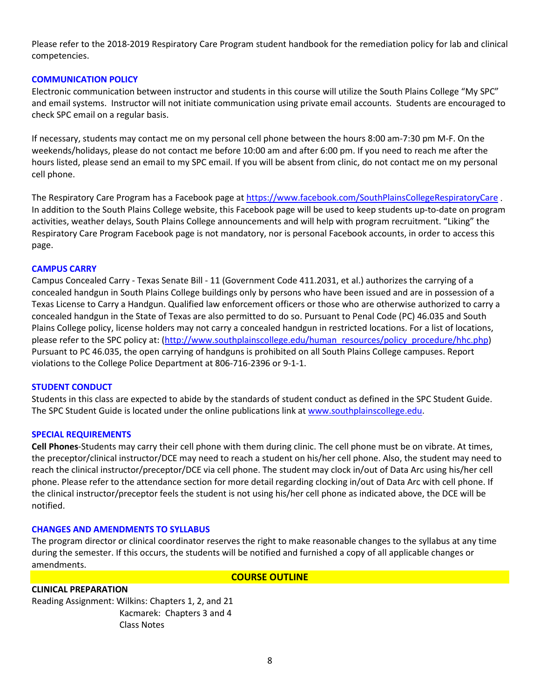Please refer to the 2018-2019 Respiratory Care Program student handbook for the remediation policy for lab and clinical competencies.

## **COMMUNICATION POLICY**

Electronic communication between instructor and students in this course will utilize the South Plains College "My SPC" and email systems. Instructor will not initiate communication using private email accounts. Students are encouraged to check SPC email on a regular basis.

If necessary, students may contact me on my personal cell phone between the hours 8:00 am-7:30 pm M-F. On the weekends/holidays, please do not contact me before 10:00 am and after 6:00 pm. If you need to reach me after the hours listed, please send an email to my SPC email. If you will be absent from clinic, do not contact me on my personal cell phone.

The Respiratory Care Program has a Facebook page at <https://www.facebook.com/SouthPlainsCollegeRespiratoryCare>. In addition to the South Plains College website, this Facebook page will be used to keep students up-to-date on program activities, weather delays, South Plains College announcements and will help with program recruitment. "Liking" the Respiratory Care Program Facebook page is not mandatory, nor is personal Facebook accounts, in order to access this page.

## **CAMPUS CARRY**

Campus Concealed Carry - Texas Senate Bill - 11 (Government Code 411.2031, et al.) authorizes the carrying of a concealed handgun in South Plains College buildings only by persons who have been issued and are in possession of a Texas License to Carry a Handgun. Qualified law enforcement officers or those who are otherwise authorized to carry a concealed handgun in the State of Texas are also permitted to do so. Pursuant to Penal Code (PC) 46.035 and South Plains College policy, license holders may not carry a concealed handgun in restricted locations. For a list of locations, please refer to the SPC policy at: [\(http://www.southplainscollege.edu/human\\_resources/policy\\_procedure/hhc.php\)](http://www.southplainscollege.edu/human_resources/policy_procedure/hhc.php) Pursuant to PC 46.035, the open carrying of handguns is prohibited on all South Plains College campuses. Report violations to the College Police Department at 806-716-2396 or 9-1-1.

#### **STUDENT CONDUCT**

Students in this class are expected to abide by the standards of student conduct as defined in the SPC Student Guide. The SPC Student Guide is located under the online publications link at [www.southplainscollege.edu.](http://www.southplainscollege.edu/)

#### **SPECIAL REQUIREMENTS**

**Cell Phones**-Students may carry their cell phone with them during clinic. The cell phone must be on vibrate. At times, the preceptor/clinical instructor/DCE may need to reach a student on his/her cell phone. Also, the student may need to reach the clinical instructor/preceptor/DCE via cell phone. The student may clock in/out of Data Arc using his/her cell phone. Please refer to the attendance section for more detail regarding clocking in/out of Data Arc with cell phone. If the clinical instructor/preceptor feels the student is not using his/her cell phone as indicated above, the DCE will be notified.

#### **CHANGES AND AMENDMENTS TO SYLLABUS**

The program director or clinical coordinator reserves the right to make reasonable changes to the syllabus at any time during the semester. If this occurs, the students will be notified and furnished a copy of all applicable changes or amendments.

#### **COURSE OUTLINE**

#### **CLINICAL PREPARATION**

Reading Assignment: Wilkins: Chapters 1, 2, and 21 Kacmarek: Chapters 3 and 4 Class Notes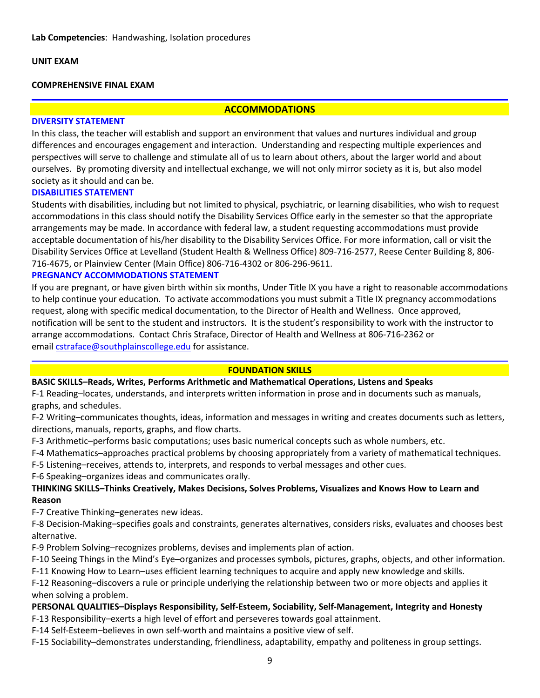### **UNIT EXAM**

#### **COMPREHENSIVE FINAL EXAM**

### **ACCOMMODATIONS**

## **DIVERSITY STATEMENT**

In this class, the teacher will establish and support an environment that values and nurtures individual and group differences and encourages engagement and interaction. Understanding and respecting multiple experiences and perspectives will serve to challenge and stimulate all of us to learn about others, about the larger world and about ourselves. By promoting diversity and intellectual exchange, we will not only mirror society as it is, but also model society as it should and can be.

#### **DISABILITIES STATEMENT**

Students with disabilities, including but not limited to physical, psychiatric, or learning disabilities, who wish to request accommodations in this class should notify the Disability Services Office early in the semester so that the appropriate arrangements may be made. In accordance with federal law, a student requesting accommodations must provide acceptable documentation of his/her disability to the Disability Services Office. For more information, call or visit the Disability Services Office at Levelland (Student Health & Wellness Office) 809-716-2577, Reese Center Building 8, 806- 716-4675, or Plainview Center (Main Office) 806-716-4302 or 806-296-9611.

#### **PREGNANCY ACCOMMODATIONS STATEMENT**

If you are pregnant, or have given birth within six months, Under Title IX you have a right to reasonable accommodations to help continue your education. To activate accommodations you must submit a Title IX pregnancy accommodations request, along with specific medical documentation, to the Director of Health and Wellness. Once approved, notification will be sent to the student and instructors. It is the student's responsibility to work with the instructor to arrange accommodations. Contact Chris Straface, Director of Health and Wellness at 806-716-2362 or email [cstraface@southplainscollege.edu](mailto:cstraface@southplainscollege.edu) for assistance.

#### **FOUNDATION SKILLS**

#### **BASIC SKILLS–Reads, Writes, Performs Arithmetic and Mathematical Operations, Listens and Speaks**

F-1 Reading–locates, understands, and interprets written information in prose and in documents such as manuals, graphs, and schedules.

F-2 Writing–communicates thoughts, ideas, information and messages in writing and creates documents such as letters, directions, manuals, reports, graphs, and flow charts.

F-3 Arithmetic–performs basic computations; uses basic numerical concepts such as whole numbers, etc.

F-4 Mathematics–approaches practical problems by choosing appropriately from a variety of mathematical techniques.

F-5 Listening–receives, attends to, interprets, and responds to verbal messages and other cues.

F-6 Speaking–organizes ideas and communicates orally.

## **THINKING SKILLS–Thinks Creatively, Makes Decisions, Solves Problems, Visualizes and Knows How to Learn and Reason**

F-7 Creative Thinking–generates new ideas.

F-8 Decision-Making–specifies goals and constraints, generates alternatives, considers risks, evaluates and chooses best alternative.

F-9 Problem Solving–recognizes problems, devises and implements plan of action.

F-10 Seeing Things in the Mind's Eye–organizes and processes symbols, pictures, graphs, objects, and other information.

F-11 Knowing How to Learn–uses efficient learning techniques to acquire and apply new knowledge and skills.

F-12 Reasoning–discovers a rule or principle underlying the relationship between two or more objects and applies it when solving a problem.

## **PERSONAL QUALITIES–Displays Responsibility, Self-Esteem, Sociability, Self-Management, Integrity and Honesty**

F-13 Responsibility–exerts a high level of effort and perseveres towards goal attainment.

F-14 Self-Esteem–believes in own self-worth and maintains a positive view of self.

F-15 Sociability–demonstrates understanding, friendliness, adaptability, empathy and politeness in group settings.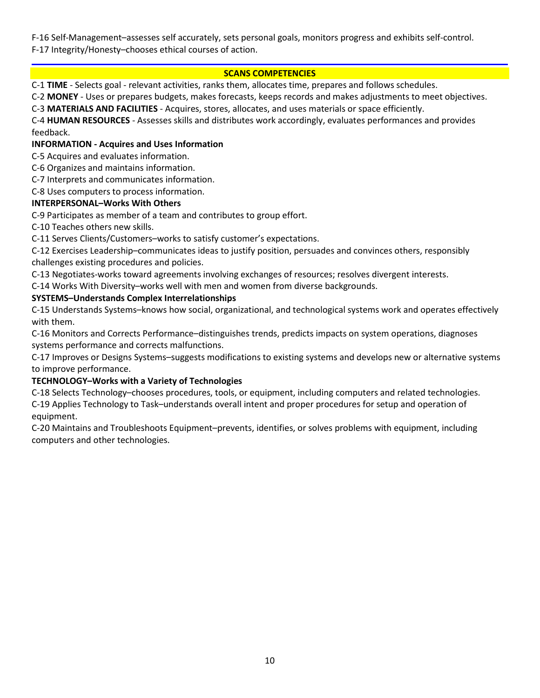F-16 Self-Management–assesses self accurately, sets personal goals, monitors progress and exhibits self-control. F-17 Integrity/Honesty–chooses ethical courses of action.

## **SCANS COMPETENCIES**

C-1 **TIME** - Selects goal - relevant activities, ranks them, allocates time, prepares and follows schedules.

C-2 **MONEY** - Uses or prepares budgets, makes forecasts, keeps records and makes adjustments to meet objectives.

C-3 **MATERIALS AND FACILITIES** - Acquires, stores, allocates, and uses materials or space efficiently.

C-4 **HUMAN RESOURCES** - Assesses skills and distributes work accordingly, evaluates performances and provides feedback.

## **INFORMATION - Acquires and Uses Information**

C-5 Acquires and evaluates information.

C-6 Organizes and maintains information.

C-7 Interprets and communicates information.

C-8 Uses computers to process information.

#### **INTERPERSONAL–Works With Others**

C-9 Participates as member of a team and contributes to group effort.

C-10 Teaches others new skills.

C-11 Serves Clients/Customers–works to satisfy customer's expectations.

C-12 Exercises Leadership–communicates ideas to justify position, persuades and convinces others, responsibly challenges existing procedures and policies.

C-13 Negotiates-works toward agreements involving exchanges of resources; resolves divergent interests.

C-14 Works With Diversity–works well with men and women from diverse backgrounds.

## **SYSTEMS–Understands Complex Interrelationships**

C-15 Understands Systems–knows how social, organizational, and technological systems work and operates effectively with them.

C-16 Monitors and Corrects Performance–distinguishes trends, predicts impacts on system operations, diagnoses systems performance and corrects malfunctions.

C-17 Improves or Designs Systems–suggests modifications to existing systems and develops new or alternative systems to improve performance.

## **TECHNOLOGY–Works with a Variety of Technologies**

C-18 Selects Technology–chooses procedures, tools, or equipment, including computers and related technologies. C-19 Applies Technology to Task–understands overall intent and proper procedures for setup and operation of equipment.

C-20 Maintains and Troubleshoots Equipment–prevents, identifies, or solves problems with equipment, including computers and other technologies.